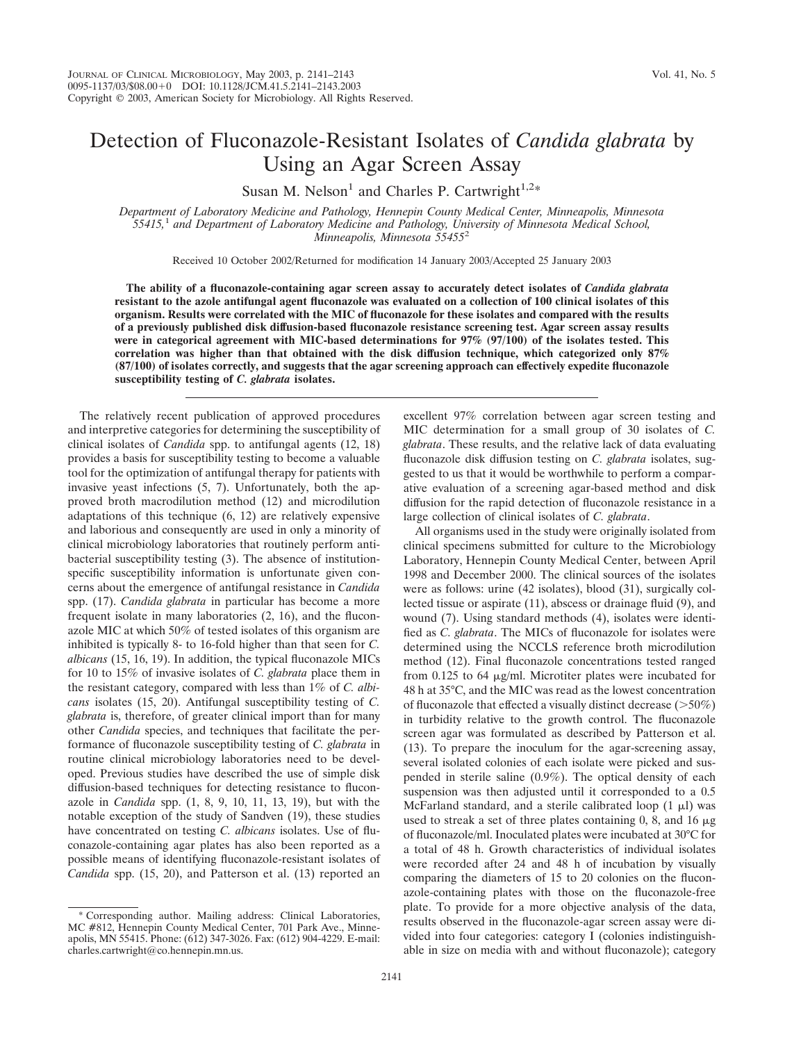## Detection of Fluconazole-Resistant Isolates of *Candida glabrata* by Using an Agar Screen Assay

Susan M. Nelson<sup>1</sup> and Charles P. Cartwright<sup>1,2\*</sup>

*Department of Laboratory Medicine and Pathology, Hennepin County Medical Center, Minneapolis, Minnesota 55415,*<sup>1</sup> *and Department of Laboratory Medicine and Pathology, University of Minnesota Medical School, Minneapolis, Minnesota 55455*<sup>2</sup>

Received 10 October 2002/Returned for modification 14 January 2003/Accepted 25 January 2003

**The ability of a fluconazole-containing agar screen assay to accurately detect isolates of** *Candida glabrata* **resistant to the azole antifungal agent fluconazole was evaluated on a collection of 100 clinical isolates of this organism. Results were correlated with the MIC of fluconazole for these isolates and compared with the results of a previously published disk diffusion-based fluconazole resistance screening test. Agar screen assay results were in categorical agreement with MIC-based determinations for 97% (97/100) of the isolates tested. This correlation was higher than that obtained with the disk diffusion technique, which categorized only 87% (87/100) of isolates correctly, and suggests that the agar screening approach can effectively expedite fluconazole susceptibility testing of** *C. glabrata* **isolates.**

The relatively recent publication of approved procedures and interpretive categories for determining the susceptibility of clinical isolates of *Candida* spp. to antifungal agents (12, 18) provides a basis for susceptibility testing to become a valuable tool for the optimization of antifungal therapy for patients with invasive yeast infections (5, 7). Unfortunately, both the approved broth macrodilution method (12) and microdilution adaptations of this technique (6, 12) are relatively expensive and laborious and consequently are used in only a minority of clinical microbiology laboratories that routinely perform antibacterial susceptibility testing (3). The absence of institutionspecific susceptibility information is unfortunate given concerns about the emergence of antifungal resistance in *Candida* spp. (17). *Candida glabrata* in particular has become a more frequent isolate in many laboratories (2, 16), and the fluconazole MIC at which 50% of tested isolates of this organism are inhibited is typically 8- to 16-fold higher than that seen for *C. albicans* (15, 16, 19). In addition, the typical fluconazole MICs for 10 to 15% of invasive isolates of *C. glabrata* place them in the resistant category, compared with less than 1% of *C. albicans* isolates (15, 20). Antifungal susceptibility testing of *C. glabrata* is, therefore, of greater clinical import than for many other *Candida* species, and techniques that facilitate the performance of fluconazole susceptibility testing of *C. glabrata* in routine clinical microbiology laboratories need to be developed. Previous studies have described the use of simple disk diffusion-based techniques for detecting resistance to fluconazole in *Candida* spp. (1, 8, 9, 10, 11, 13, 19), but with the notable exception of the study of Sandven (19), these studies have concentrated on testing *C. albicans* isolates. Use of fluconazole-containing agar plates has also been reported as a possible means of identifying fluconazole-resistant isolates of *Candida* spp. (15, 20), and Patterson et al. (13) reported an

excellent 97% correlation between agar screen testing and MIC determination for a small group of 30 isolates of *C. glabrata*. These results, and the relative lack of data evaluating fluconazole disk diffusion testing on *C. glabrata* isolates, suggested to us that it would be worthwhile to perform a comparative evaluation of a screening agar-based method and disk diffusion for the rapid detection of fluconazole resistance in a large collection of clinical isolates of *C. glabrata*.

All organisms used in the study were originally isolated from clinical specimens submitted for culture to the Microbiology Laboratory, Hennepin County Medical Center, between April 1998 and December 2000. The clinical sources of the isolates were as follows: urine (42 isolates), blood (31), surgically collected tissue or aspirate (11), abscess or drainage fluid (9), and wound (7). Using standard methods (4), isolates were identified as *C. glabrata*. The MICs of fluconazole for isolates were determined using the NCCLS reference broth microdilution method (12). Final fluconazole concentrations tested ranged from  $0.125$  to 64  $\mu$ g/ml. Microtiter plates were incubated for 48 h at 35°C, and the MIC was read as the lowest concentration of fluconazole that effected a visually distinct decrease  $(>50\%)$ in turbidity relative to the growth control. The fluconazole screen agar was formulated as described by Patterson et al. (13). To prepare the inoculum for the agar-screening assay, several isolated colonies of each isolate were picked and suspended in sterile saline (0.9%). The optical density of each suspension was then adjusted until it corresponded to a 0.5 McFarland standard, and a sterile calibrated loop  $(1 \mu I)$  was used to streak a set of three plates containing  $0, 8$ , and  $16 \mu$ g of fluconazole/ml. Inoculated plates were incubated at 30°C for a total of 48 h. Growth characteristics of individual isolates were recorded after 24 and 48 h of incubation by visually comparing the diameters of 15 to 20 colonies on the fluconazole-containing plates with those on the fluconazole-free plate. To provide for a more objective analysis of the data, results observed in the fluconazole-agar screen assay were divided into four categories: category I (colonies indistinguishable in size on media with and without fluconazole); category

Corresponding author. Mailing address: Clinical Laboratories, MC #812, Hennepin County Medical Center, 701 Park Ave., Minneapolis, MN 55415. Phone: (612) 347-3026. Fax: (612) 904-4229. E-mail: charles.cartwright@co.hennepin.mn.us.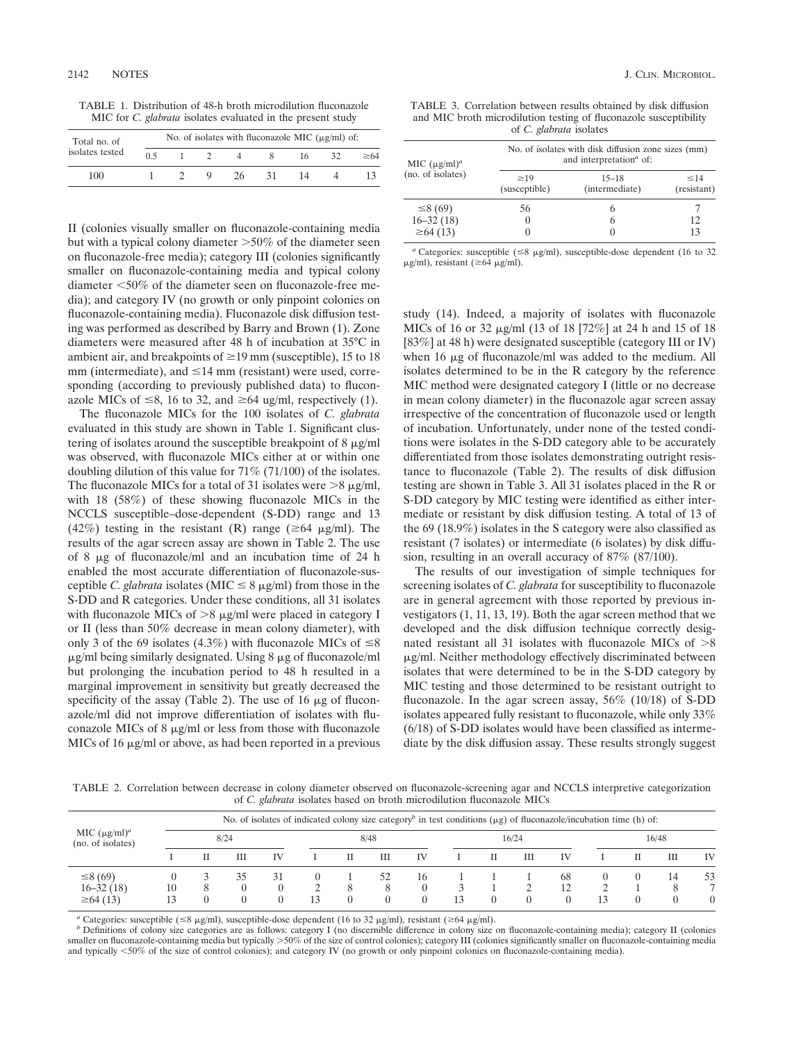TABLE 1. Distribution of 48-h broth microdilution fluconazole MIC for *C. glabrata* isolates evaluated in the present study

| Total no. of    | No. of isolates with fluconazole MIC $(\mu g/ml)$ of: |  |  |     |    |    |    |           |  |  |  |  |
|-----------------|-------------------------------------------------------|--|--|-----|----|----|----|-----------|--|--|--|--|
| isolates tested | 0.5                                                   |  |  |     |    | 16 | 32 | $\geq 64$ |  |  |  |  |
| 100             |                                                       |  |  | 26. | 31 | 14 |    |           |  |  |  |  |

II (colonies visually smaller on fluconazole-containing media but with a typical colony diameter  $>50\%$  of the diameter seen on fluconazole-free media); category III (colonies significantly smaller on fluconazole-containing media and typical colony diameter 50% of the diameter seen on fluconazole-free media); and category IV (no growth or only pinpoint colonies on fluconazole-containing media). Fluconazole disk diffusion testing was performed as described by Barry and Brown (1). Zone diameters were measured after 48 h of incubation at 35°C in ambient air, and breakpoints of  $\geq$ 19 mm (susceptible), 15 to 18  $mm$  (intermediate), and  $\leq$ 14 mm (resistant) were used, corresponding (according to previously published data) to fluconazole MICs of  $\leq 8$ , 16 to 32, and  $\geq 64$  ug/ml, respectively (1).

The fluconazole MICs for the 100 isolates of *C. glabrata* evaluated in this study are shown in Table 1. Significant clustering of isolates around the susceptible breakpoint of  $8 \mu g/ml$ was observed, with fluconazole MICs either at or within one doubling dilution of this value for 71% (71/100) of the isolates. The fluconazole MICs for a total of 31 isolates were  $>8 \mu g/ml$ , with 18 (58%) of these showing fluconazole MICs in the NCCLS susceptible–dose-dependent (S-DD) range and 13 (42%) testing in the resistant (R) range ( $\geq 64$   $\mu$ g/ml). The results of the agar screen assay are shown in Table 2. The use of 8  $\mu$ g of fluconazole/ml and an incubation time of 24 h enabled the most accurate differentiation of fluconazole-susceptible *C. glabrata* isolates (MIC  $\leq$  8  $\mu$ g/ml) from those in the S-DD and R categories. Under these conditions, all 31 isolates with fluconazole MICs of  $>8 \mu g/ml$  were placed in category I or II (less than 50% decrease in mean colony diameter), with only 3 of the 69 isolates (4.3%) with fluconazole MICs of  $\leq 8$  $\mu$ g/ml being similarly designated. Using 8  $\mu$ g of fluconazole/ml but prolonging the incubation period to 48 h resulted in a marginal improvement in sensitivity but greatly decreased the specificity of the assay (Table 2). The use of 16  $\mu$ g of fluconazole/ml did not improve differentiation of isolates with fluconazole MICs of  $8 \mu g/ml$  or less from those with fluconazole MICs of 16  $\mu$ g/ml or above, as had been reported in a previous

TABLE 3. Correlation between results obtained by disk diffusion and MIC broth microdilution testing of fluconazole susceptibility of *C. glabrata* isolates

| No. of isolates with disk diffusion zone sizes (mm)<br>and interpretation <sup>a</sup> of: |  |  |  |  |  |  |  |  |  |
|--------------------------------------------------------------------------------------------|--|--|--|--|--|--|--|--|--|
| $\leq 14$<br>(resistant)                                                                   |  |  |  |  |  |  |  |  |  |
|                                                                                            |  |  |  |  |  |  |  |  |  |
| 12                                                                                         |  |  |  |  |  |  |  |  |  |
| 13                                                                                         |  |  |  |  |  |  |  |  |  |
|                                                                                            |  |  |  |  |  |  |  |  |  |

<sup>*a*</sup> Categories: susceptible ( $\leq$ 8  $\mu$ g/ml), susceptible-dose dependent (16 to 32  $\mu$ g/ml), resistant ( $\geq 64 \mu$ g/ml).

study (14). Indeed, a majority of isolates with fluconazole MICs of 16 or 32 μg/ml (13 of 18 [72%] at 24 h and 15 of 18 [83%] at 48 h) were designated susceptible (category III or IV) when  $16 \mu g$  of fluconazole/ml was added to the medium. All isolates determined to be in the R category by the reference MIC method were designated category I (little or no decrease in mean colony diameter) in the fluconazole agar screen assay irrespective of the concentration of fluconazole used or length of incubation. Unfortunately, under none of the tested conditions were isolates in the S-DD category able to be accurately differentiated from those isolates demonstrating outright resistance to fluconazole (Table 2). The results of disk diffusion testing are shown in Table 3. All 31 isolates placed in the R or S-DD category by MIC testing were identified as either intermediate or resistant by disk diffusion testing. A total of 13 of the 69 (18.9%) isolates in the S category were also classified as resistant (7 isolates) or intermediate (6 isolates) by disk diffusion, resulting in an overall accuracy of 87% (87/100).

The results of our investigation of simple techniques for screening isolates of *C. glabrata* for susceptibility to fluconazole are in general agreement with those reported by previous investigators (1, 11, 13, 19). Both the agar screen method that we developed and the disk diffusion technique correctly designated resistant all 31 isolates with fluconazole MICs of  $>8$ -g/ml. Neither methodology effectively discriminated between isolates that were determined to be in the S-DD category by MIC testing and those determined to be resistant outright to fluconazole. In the agar screen assay, 56% (10/18) of S-DD isolates appeared fully resistant to fluconazole, while only 33% (6/18) of S-DD isolates would have been classified as intermediate by the disk diffusion assay. These results strongly suggest

TABLE 2. Correlation between decrease in colony diameter observed on fluconazole-screening agar and NCCLS interpretive categorization of *C. glabrata* isolates based on broth microdilution fluconazole MICs

| MIC $(\mu g/ml)^a$<br>(no. of isolates)  |    | No. of isolates of indicated colony size category <sup>b</sup> in test conditions ( $\mu$ g) of fluconazole/incubation time (h) of: |    |                |      |               |         |              |    |  |          |          |    |  |         |         |
|------------------------------------------|----|-------------------------------------------------------------------------------------------------------------------------------------|----|----------------|------|---------------|---------|--------------|----|--|----------|----------|----|--|---------|---------|
|                                          |    | 8/24                                                                                                                                |    |                | 8/48 |               |         | 16/24        |    |  | 16/48    |          |    |  |         |         |
|                                          |    |                                                                                                                                     | Ш  | IV             |      | п             | Ш       | IV           |    |  | Ш        | IV       |    |  | Ш       | IV      |
| ≤8(69)<br>$16 - 32(18)$<br>$\geq 64(13)$ | 10 | 8                                                                                                                                   | 35 | 31<br>$\left($ | 13   | 8<br>$\Omega$ | 52<br>8 | 16<br>0<br>0 | 13 |  | $\Omega$ | 68<br>12 | 13 |  | 14<br>8 | 53<br>0 |

<sup>*a*</sup> Categories: susceptible ( $\leq$ 8  $\mu$ g/ml), susceptible-dose dependent (16 to 32  $\mu$ g/ml), resistant ( $\geq$ 64  $\mu$ 

<sup>b</sup> Definitions of colony size categories are as follows: category I (no discernible difference in colony size on fluconazole-containing media); category II (colonies smaller on fluconazole-containing media but typically >50% of the size of control colonies); category III (colonies significantly smaller on fluconazole-containing media and typically <50% of the size of control colonies); and category IV (no growth or only pinpoint colonies on fluconazole-containing media).